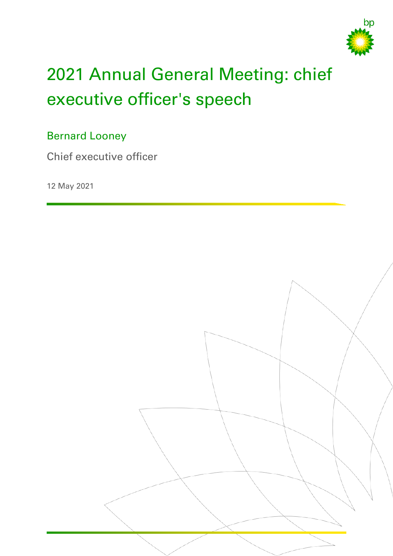

# 2021 Annual General Meeting: chief executive officer's speech

## Bernard Looney

Chief executive officer

12 May 2021

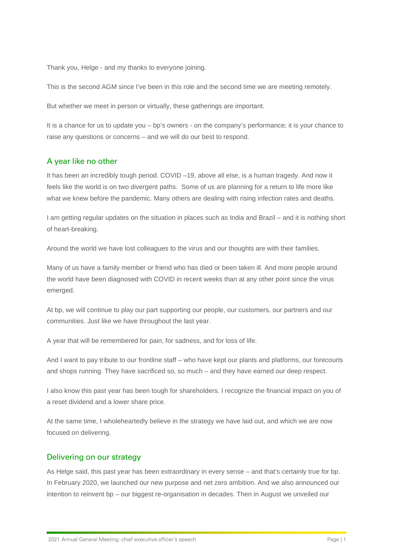Thank you, Helge - and my thanks to everyone joining.

This is the second AGM since I've been in this role and the second time we are meeting remotely.

But whether we meet in person or virtually, these gatherings are important.

It is a chance for us to update you – bp's owners - on the company's performance; it is your chance to raise any questions or concerns – and we will do our best to respond.

### A year like no other

It has been an incredibly tough period. COVID –19, above all else, is a human tragedy. And now it feels like the world is on two divergent paths. Some of us are planning for a return to life more like what we knew before the pandemic. Many others are dealing with rising infection rates and deaths.

I am getting regular updates on the situation in places such as India and Brazil – and it is nothing short of heart-breaking.

Around the world we have lost colleagues to the virus and our thoughts are with their families.

Many of us have a family member or friend who has died or been taken ill. And more people around the world have been diagnosed with COVID in recent weeks than at any other point since the virus emerged.

At bp, we will continue to play our part supporting our people, our customers, our partners and our communities. Just like we have throughout the last year.

A year that will be remembered for pain, for sadness, and for loss of life.

And I want to pay tribute to our frontline staff – who have kept our plants and platforms, our forecourts and shops running. They have sacrificed so, so much – and they have earned our deep respect.

I also know this past year has been tough for shareholders. I recognize the financial impact on you of a reset dividend and a lower share price.

At the same time, I wholeheartedly believe in the strategy we have laid out, and which we are now focused on delivering.

#### Delivering on our strategy

As Helge said, this past year has been extraordinary in every sense – and that's certainly true for bp. In February 2020, we launched our new purpose and net zero ambition. And we also announced our intention to reinvent bp – our biggest re-organisation in decades. Then in August we unveiled our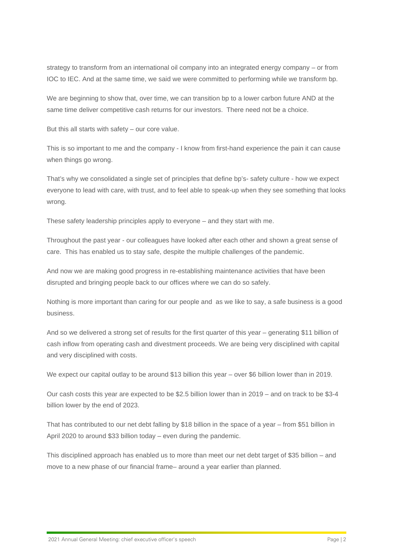strategy to transform from an international oil company into an integrated energy company – or from IOC to IEC. And at the same time, we said we were committed to performing while we transform bp.

We are beginning to show that, over time, we can transition bp to a lower carbon future AND at the same time deliver competitive cash returns for our investors. There need not be a choice.

But this all starts with safety – our core value.

This is so important to me and the company - I know from first-hand experience the pain it can cause when things go wrong.

That's why we consolidated a single set of principles that define bp's- safety culture - how we expect everyone to lead with care, with trust, and to feel able to speak-up when they see something that looks wrong.

These safety leadership principles apply to everyone – and they start with me.

Throughout the past year - our colleagues have looked after each other and shown a great sense of care. This has enabled us to stay safe, despite the multiple challenges of the pandemic.

And now we are making good progress in re-establishing maintenance activities that have been disrupted and bringing people back to our offices where we can do so safely.

Nothing is more important than caring for our people and as we like to say, a safe business is a good business.

And so we delivered a strong set of results for the first quarter of this year – generating \$11 billion of cash inflow from operating cash and divestment proceeds. We are being very disciplined with capital and very disciplined with costs.

We expect our capital outlay to be around \$13 billion this year – over \$6 billion lower than in 2019.

Our cash costs this year are expected to be \$2.5 billion lower than in 2019 – and on track to be \$3-4 billion lower by the end of 2023.

That has contributed to our net debt falling by \$18 billion in the space of a year – from \$51 billion in April 2020 to around \$33 billion today – even during the pandemic.

This disciplined approach has enabled us to more than meet our net debt target of \$35 billion – and move to a new phase of our financial frame– around a year earlier than planned.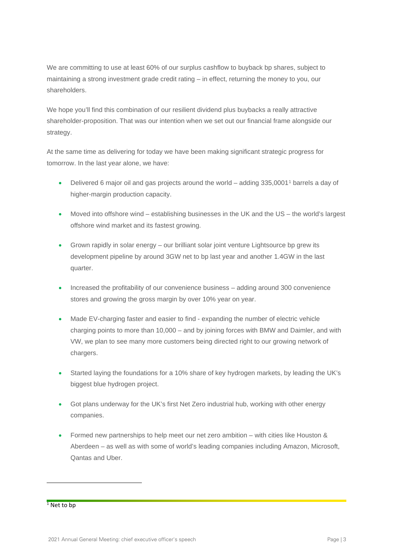We are committing to use at least 60% of our surplus cashflow to buyback bp shares, subject to maintaining a strong investment grade credit rating – in effect, returning the money to you, our shareholders.

We hope you'll find this combination of our resilient dividend plus buybacks a really attractive shareholder-proposition. That was our intention when we set out our financial frame alongside our strategy.

At the same time as delivering for today we have been making significant strategic progress for tomorrow. In the last year alone, we have:

- Delivered 6 major oil and gas projects around the world adding 335,000[1](#page-3-0)<sup>1</sup> barrels a day of higher-margin production capacity.
- Moved into offshore wind establishing businesses in the UK and the US the world's largest offshore wind market and its fastest growing.
- Grown rapidly in solar energy our brilliant solar joint venture Lightsource bp grew its development pipeline by around 3GW net to bp last year and another 1.4GW in the last quarter.
- Increased the profitability of our convenience business adding around 300 convenience stores and growing the gross margin by over 10% year on year.
- Made EV-charging faster and easier to find expanding the number of electric vehicle charging points to more than 10,000 – and by joining forces with BMW and Daimler, and with VW, we plan to see many more customers being directed right to our growing network of chargers.
- Started laying the foundations for a 10% share of key hydrogen markets, by leading the UK's biggest blue hydrogen project.
- Got plans underway for the UK's first Net Zero industrial hub, working with other energy companies.
- Formed new partnerships to help meet our net zero ambition with cities like Houston & Aberdeen – as well as with some of world's leading companies including Amazon, Microsoft, Qantas and Uber.

<span id="page-3-0"></span> $1$  Net to bp